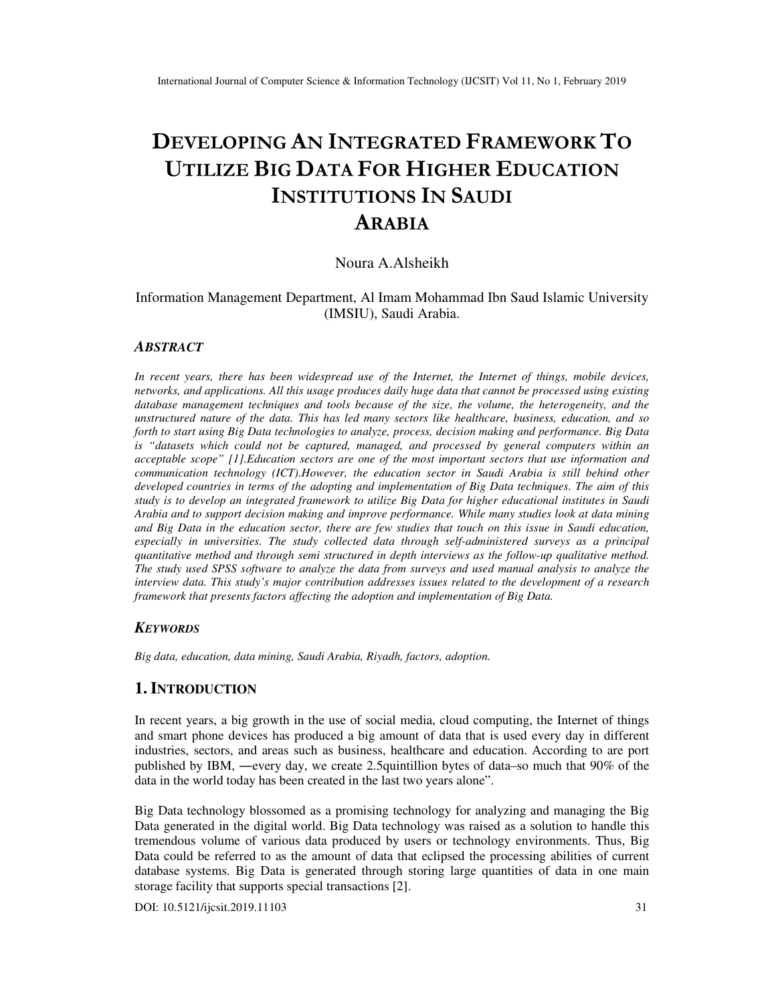# **DEVELOPING AN INTEGRATED FRAMEWORK TO UTILIZE BIG DATA FOR HIGHER EDUCATION INSTITUTIONS IN SAUDI ARABIA**

# Noura A.Alsheikh

### Information Management Department, Al Imam Mohammad Ibn Saud Islamic University (IMSIU), Saudi Arabia.

#### *ABSTRACT*

*In recent years, there has been widespread use of the Internet, the Internet of things, mobile devices, networks, and applications. All this usage produces daily huge data that cannot be processed using existing database management techniques and tools because of the size, the volume, the heterogeneity, and the unstructured nature of the data. This has led many sectors like healthcare, business, education, and so forth to start using Big Data technologies to analyze, process, decision making and performance. Big Data*  is "datasets which could not be captured, managed, and processed by general computers within an *acceptable scope" [1].Education sectors are one of the most important sectors that use information and communication technology (ICT).However, the education sector in Saudi Arabia is still behind other developed countries in terms of the adopting and implementation of Big Data techniques. The aim of this study is to develop an integrated framework to utilize Big Data for higher educational institutes in Saudi Arabia and to support decision making and improve performance. While many studies look at data mining and Big Data in the education sector, there are few studies that touch on this issue in Saudi education, especially in universities. The study collected data through self-administered surveys as a principal quantitative method and through semi structured in depth interviews as the follow-up qualitative method. The study used SPSS software to analyze the data from surveys and used manual analysis to analyze the interview data. This study's major contribution addresses issues related to the development of a research framework that presents factors affecting the adoption and implementation of Big Data.*

#### *KEYWORDS*

*Big data, education, data mining, Saudi Arabia, Riyadh, factors, adoption.* 

# **1. INTRODUCTION**

In recent years, a big growth in the use of social media, cloud computing, the Internet of things and smart phone devices has produced a big amount of data that is used every day in different industries, sectors, and areas such as business, healthcare and education. According to are port published by IBM, ―every day, we create 2.5quintillion bytes of data–so much that 90% of the data in the world today has been created in the last two years alone".

Big Data technology blossomed as a promising technology for analyzing and managing the Big Data generated in the digital world. Big Data technology was raised as a solution to handle this tremendous volume of various data produced by users or technology environments. Thus, Big Data could be referred to as the amount of data that eclipsed the processing abilities of current database systems. Big Data is generated through storing large quantities of data in one main storage facility that supports special transactions [2].

DOI: 10.5121/ijcsit.2019.11103 31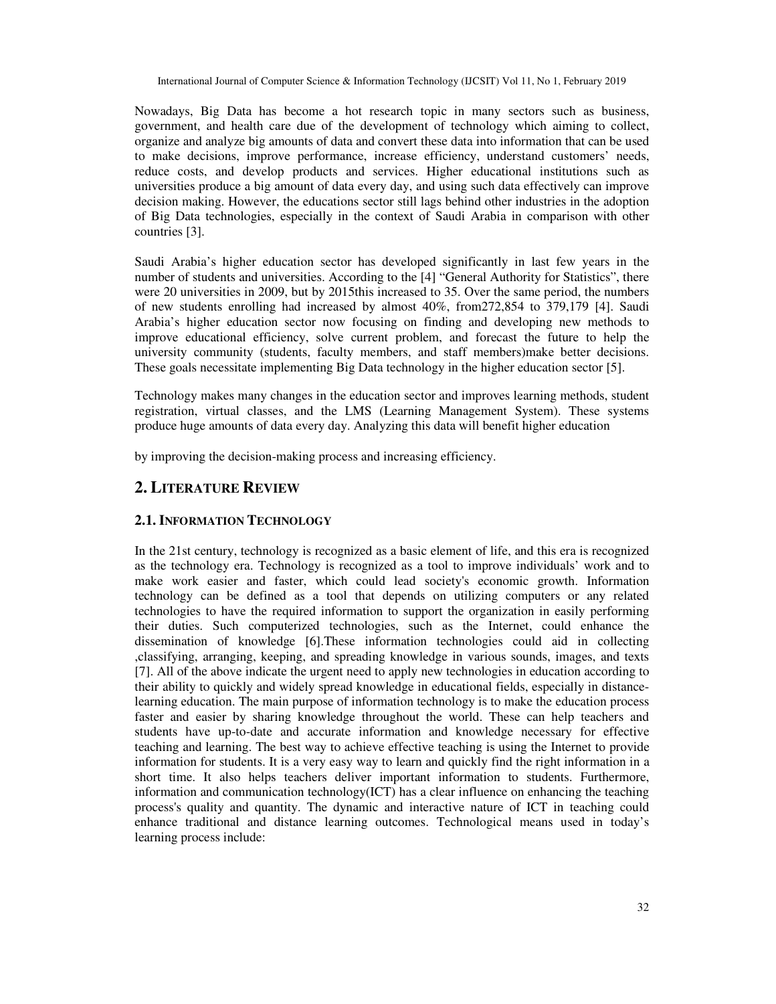Nowadays, Big Data has become a hot research topic in many sectors such as business, government, and health care due of the development of technology which aiming to collect, organize and analyze big amounts of data and convert these data into information that can be used to make decisions, improve performance, increase efficiency, understand customers' needs, reduce costs, and develop products and services. Higher educational institutions such as universities produce a big amount of data every day, and using such data effectively can improve decision making. However, the educations sector still lags behind other industries in the adoption of Big Data technologies, especially in the context of Saudi Arabia in comparison with other countries [3].

Saudi Arabia's higher education sector has developed significantly in last few years in the number of students and universities. According to the [4] "General Authority for Statistics", there were 20 universities in 2009, but by 2015this increased to 35. Over the same period, the numbers of new students enrolling had increased by almost 40%, from272,854 to 379,179 [4]. Saudi Arabia's higher education sector now focusing on finding and developing new methods to improve educational efficiency, solve current problem, and forecast the future to help the university community (students, faculty members, and staff members)make better decisions. These goals necessitate implementing Big Data technology in the higher education sector [5].

Technology makes many changes in the education sector and improves learning methods, student registration, virtual classes, and the LMS (Learning Management System). These systems produce huge amounts of data every day. Analyzing this data will benefit higher education

by improving the decision-making process and increasing efficiency.

# **2. LITERATURE REVIEW**

# **2.1. INFORMATION TECHNOLOGY**

In the 21st century, technology is recognized as a basic element of life, and this era is recognized as the technology era. Technology is recognized as a tool to improve individuals' work and to make work easier and faster, which could lead society's economic growth. Information technology can be defined as a tool that depends on utilizing computers or any related technologies to have the required information to support the organization in easily performing their duties. Such computerized technologies, such as the Internet, could enhance the dissemination of knowledge [6].These information technologies could aid in collecting ,classifying, arranging, keeping, and spreading knowledge in various sounds, images, and texts [7]. All of the above indicate the urgent need to apply new technologies in education according to their ability to quickly and widely spread knowledge in educational fields, especially in distancelearning education. The main purpose of information technology is to make the education process faster and easier by sharing knowledge throughout the world. These can help teachers and students have up-to-date and accurate information and knowledge necessary for effective teaching and learning. The best way to achieve effective teaching is using the Internet to provide information for students. It is a very easy way to learn and quickly find the right information in a short time. It also helps teachers deliver important information to students. Furthermore, information and communication technology(ICT) has a clear influence on enhancing the teaching process's quality and quantity. The dynamic and interactive nature of ICT in teaching could enhance traditional and distance learning outcomes. Technological means used in today's learning process include: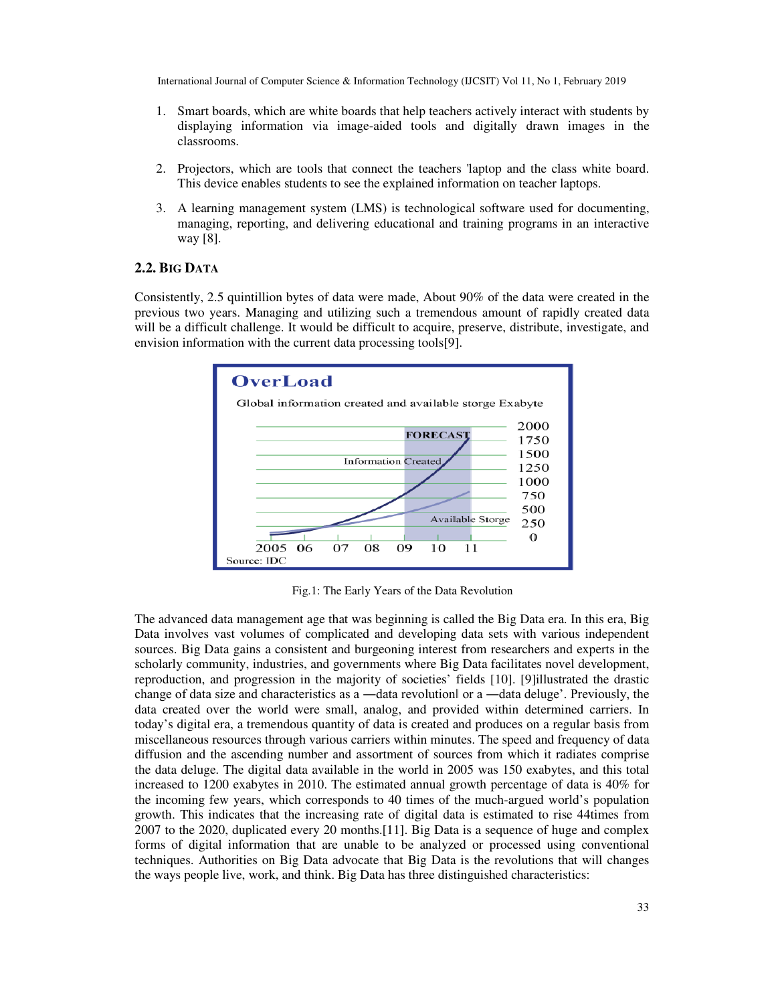- 1. Smart boards, which are white boards that help teachers actively interact with students by displaying information via image-aided tools and digitally drawn images in the classrooms.
- 2. Projectors, which are tools that connect the teachers 'laptop and the class white board. This device enables students to see the explained information on teacher laptops.
- 3. A learning management system (LMS) is technological software used for documenting, managing, reporting, and delivering educational and training programs in an interactive way [8].

#### **2.2. BIG DATA**

Consistently, 2.5 quintillion bytes of data were made, About 90% of the data were created in the previous two years. Managing and utilizing such a tremendous amount of rapidly created data will be a difficult challenge. It would be difficult to acquire, preserve, distribute, investigate, and envision information with the current data processing tools[9].



Fig.1: The Early Years of the Data Revolution

The advanced data management age that was beginning is called the Big Data era. In this era, Big Data involves vast volumes of complicated and developing data sets with various independent sources. Big Data gains a consistent and burgeoning interest from researchers and experts in the scholarly community, industries, and governments where Big Data facilitates novel development, reproduction, and progression in the majority of societies' fields [10]. [9]illustrated the drastic change of data size and characteristics as a —data revolution or a —data deluge'. Previously, the data created over the world were small, analog, and provided within determined carriers. In today's digital era, a tremendous quantity of data is created and produces on a regular basis from miscellaneous resources through various carriers within minutes. The speed and frequency of data diffusion and the ascending number and assortment of sources from which it radiates comprise the data deluge. The digital data available in the world in 2005 was 150 exabytes, and this total increased to 1200 exabytes in 2010. The estimated annual growth percentage of data is 40% for the incoming few years, which corresponds to 40 times of the much-argued world's population growth. This indicates that the increasing rate of digital data is estimated to rise 44times from 2007 to the 2020, duplicated every 20 months.[11]. Big Data is a sequence of huge and complex forms of digital information that are unable to be analyzed or processed using conventional techniques. Authorities on Big Data advocate that Big Data is the revolutions that will changes the ways people live, work, and think. Big Data has three distinguished characteristics: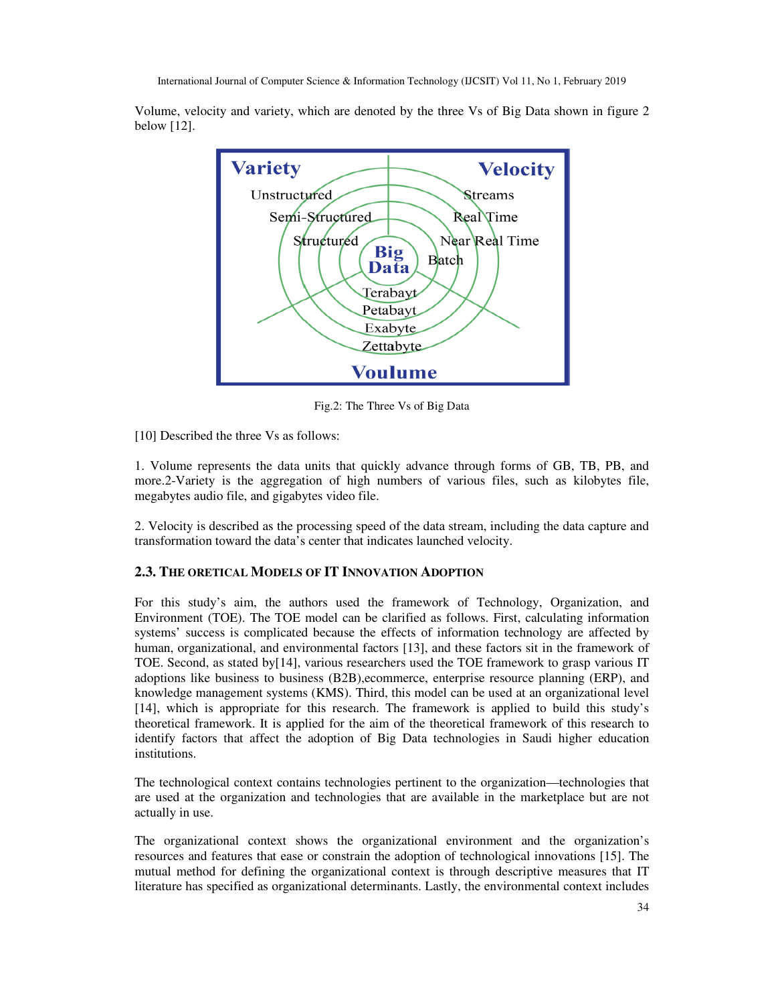Volume, velocity and variety, which are denoted by the three Vs of Big Data shown in figure 2 below [12].



Fig.2: The Three Vs of Big Data

[10] Described the three Vs as follows:

1. Volume represents the data units that quickly advance through forms of GB, TB, PB, and more.2-Variety is the aggregation of high numbers of various files, such as kilobytes file, megabytes audio file, and gigabytes video file.

2. Velocity is described as the processing speed of the data stream, including the data capture and transformation toward the data's center that indicates launched velocity.

# **2.3. THE ORETICAL MODELS OF IT INNOVATION ADOPTION**

For this study's aim, the authors used the framework of Technology, Organization, and Environment (TOE). The TOE model can be clarified as follows. First, calculating information systems' success is complicated because the effects of information technology are affected by human, organizational, and environmental factors [13], and these factors sit in the framework of TOE. Second, as stated by[14], various researchers used the TOE framework to grasp various IT adoptions like business to business (B2B),ecommerce, enterprise resource planning (ERP), and knowledge management systems (KMS). Third, this model can be used at an organizational level [14], which is appropriate for this research. The framework is applied to build this study's theoretical framework. It is applied for the aim of the theoretical framework of this research to identify factors that affect the adoption of Big Data technologies in Saudi higher education institutions.

The technological context contains technologies pertinent to the organization—technologies that are used at the organization and technologies that are available in the marketplace but are not actually in use.

The organizational context shows the organizational environment and the organization's resources and features that ease or constrain the adoption of technological innovations [15]. The mutual method for defining the organizational context is through descriptive measures that IT literature has specified as organizational determinants. Lastly, the environmental context includes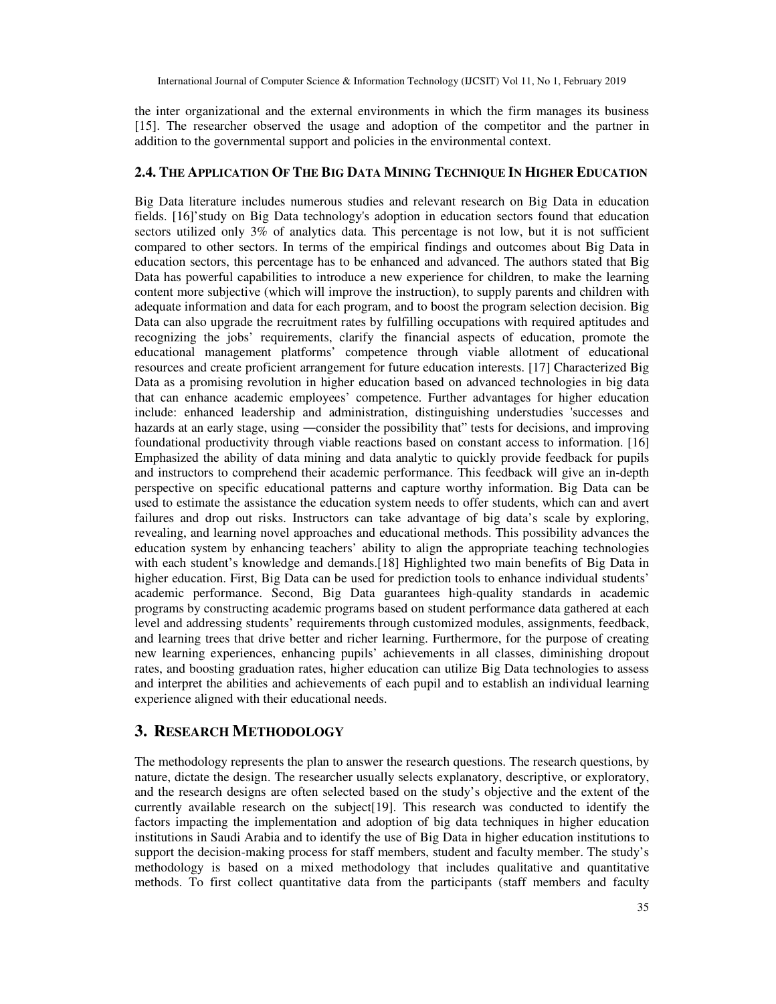the inter organizational and the external environments in which the firm manages its business [15]. The researcher observed the usage and adoption of the competitor and the partner in addition to the governmental support and policies in the environmental context.

#### 2.4. THE APPLICATION OF THE BIG DATA MINING TECHNIQUE IN HIGHER EDUCATION

Big Data literature includes numerous studies and relevant research on Big Data in education fields. [16]'study on Big Data technology's adoption in education sectors found that education sectors utilized only 3% of analytics data. This percentage is not low, but it is not sufficient compared to other sectors. In terms of the empirical findings and outcomes about Big Data in education sectors, this percentage has to be enhanced and advanced. The authors stated that Big Data has powerful capabilities to introduce a new experience for children, to make the learning content more subjective (which will improve the instruction), to supply parents and children with adequate information and data for each program, and to boost the program selection decision. Big Data can also upgrade the recruitment rates by fulfilling occupations with required aptitudes and recognizing the jobs' requirements, clarify the financial aspects of education, promote the educational management platforms' competence through viable allotment of educational resources and create proficient arrangement for future education interests. [17] Characterized Big Data as a promising revolution in higher education based on advanced technologies in big data that can enhance academic employees' competence. Further advantages for higher education include: enhanced leadership and administration, distinguishing understudies 'successes and hazards at an early stage, using —consider the possibility that" tests for decisions, and improving foundational productivity through viable reactions based on constant access to information. [16] Emphasized the ability of data mining and data analytic to quickly provide feedback for pupils and instructors to comprehend their academic performance. This feedback will give an in-depth perspective on specific educational patterns and capture worthy information. Big Data can be used to estimate the assistance the education system needs to offer students, which can and avert failures and drop out risks. Instructors can take advantage of big data's scale by exploring, revealing, and learning novel approaches and educational methods. This possibility advances the education system by enhancing teachers' ability to align the appropriate teaching technologies with each student's knowledge and demands.<sup>[18]</sup> Highlighted two main benefits of Big Data in higher education. First, Big Data can be used for prediction tools to enhance individual students' academic performance. Second, Big Data guarantees high-quality standards in academic programs by constructing academic programs based on student performance data gathered at each level and addressing students' requirements through customized modules, assignments, feedback, and learning trees that drive better and richer learning. Furthermore, for the purpose of creating new learning experiences, enhancing pupils' achievements in all classes, diminishing dropout rates, and boosting graduation rates, higher education can utilize Big Data technologies to assess and interpret the abilities and achievements of each pupil and to establish an individual learning experience aligned with their educational needs.

# **3. RESEARCH METHODOLOGY**

The methodology represents the plan to answer the research questions. The research questions, by nature, dictate the design. The researcher usually selects explanatory, descriptive, or exploratory, and the research designs are often selected based on the study's objective and the extent of the currently available research on the subject[19]. This research was conducted to identify the factors impacting the implementation and adoption of big data techniques in higher education institutions in Saudi Arabia and to identify the use of Big Data in higher education institutions to support the decision-making process for staff members, student and faculty member. The study's methodology is based on a mixed methodology that includes qualitative and quantitative methods. To first collect quantitative data from the participants (staff members and faculty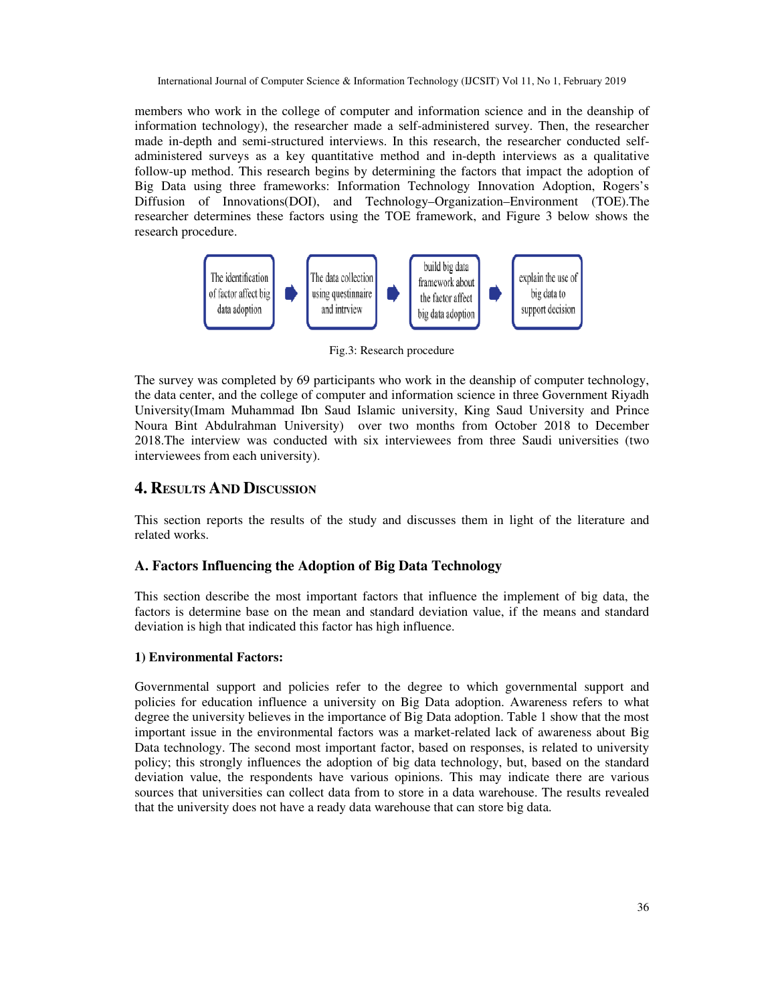members who work in the college of computer and information science and in the deanship of information technology), the researcher made a self-administered survey. Then, the researcher made in-depth and semi-structured interviews. In this research, the researcher conducted selfadministered surveys as a key quantitative method and in-depth interviews as a qualitative follow-up method. This research begins by determining the factors that impact the adoption of Big Data using three frameworks: Information Technology Innovation Adoption, Rogers's Diffusion of Innovations(DOI), and Technology–Organization–Environment (TOE).The researcher determines these factors using the TOE framework, and Figure 3 below shows the research procedure.



Fig.3: Research procedure

The survey was completed by 69 participants who work in the deanship of computer technology, the data center, and the college of computer and information science in three Government Riyadh University(Imam Muhammad Ibn Saud Islamic university, King Saud University and Prince Noura Bint Abdulrahman University) over two months from October 2018 to December 2018.The interview was conducted with six interviewees from three Saudi universities (two interviewees from each university).

# **4. RESULTS AND DISCUSSION**

This section reports the results of the study and discusses them in light of the literature and related works.

# **A. Factors Influencing the Adoption of Big Data Technology**

This section describe the most important factors that influence the implement of big data, the factors is determine base on the mean and standard deviation value, if the means and standard deviation is high that indicated this factor has high influence.

# **1) Environmental Factors:**

Governmental support and policies refer to the degree to which governmental support and policies for education influence a university on Big Data adoption. Awareness refers to what degree the university believes in the importance of Big Data adoption. Table 1 show that the most important issue in the environmental factors was a market-related lack of awareness about Big Data technology. The second most important factor, based on responses, is related to university policy; this strongly influences the adoption of big data technology, but, based on the standard deviation value, the respondents have various opinions. This may indicate there are various sources that universities can collect data from to store in a data warehouse. The results revealed that the university does not have a ready data warehouse that can store big data.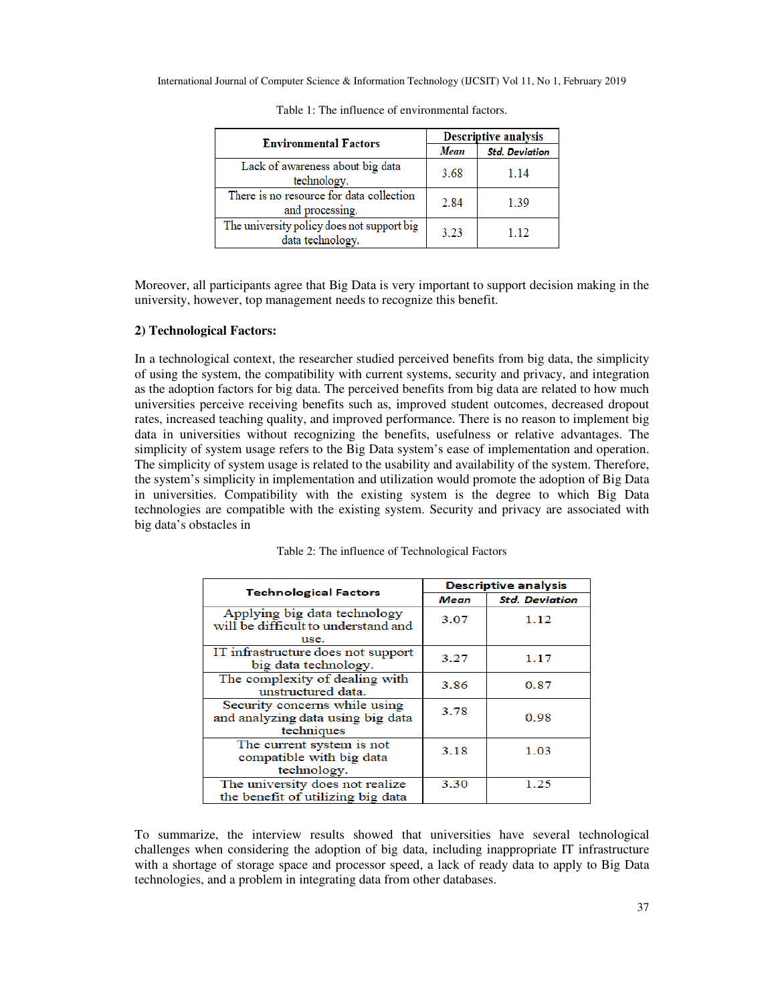| <b>Environmental Factors</b>                                   | <b>Descriptive analysis</b> |                       |  |
|----------------------------------------------------------------|-----------------------------|-----------------------|--|
|                                                                | <b>Mean</b>                 | <b>Std. Deviation</b> |  |
| Lack of awareness about big data<br>technology.                | 3.68                        | 1.14                  |  |
| There is no resource for data collection<br>and processing.    | 2.84                        | 1.39                  |  |
| The university policy does not support big<br>data technology. | 3.23                        | 1.12                  |  |

Table 1: The influence of environmental factors.

Moreover, all participants agree that Big Data is very important to support decision making in the university, however, top management needs to recognize this benefit.

#### **2) Technological Factors:**

In a technological context, the researcher studied perceived benefits from big data, the simplicity of using the system, the compatibility with current systems, security and privacy, and integration as the adoption factors for big data. The perceived benefits from big data are related to how much universities perceive receiving benefits such as, improved student outcomes, decreased dropout rates, increased teaching quality, and improved performance. There is no reason to implement big data in universities without recognizing the benefits, usefulness or relative advantages. The simplicity of system usage refers to the Big Data system's ease of implementation and operation. The simplicity of system usage is related to the usability and availability of the system. Therefore, the system's simplicity in implementation and utilization would promote the adoption of Big Data in universities. Compatibility with the existing system is the degree to which Big Data technologies are compatible with the existing system. Security and privacy are associated with big data's obstacles in

|                                                                                  | <b>Descriptive analysis</b> |                       |  |
|----------------------------------------------------------------------------------|-----------------------------|-----------------------|--|
| <b>Technological Factors</b>                                                     | Mean                        | <b>Std. Deviation</b> |  |
| Applying big data technology<br>will be difficult to understand and              | 3.07                        | 1.12                  |  |
| use.                                                                             |                             |                       |  |
| IT infrastructure does not support<br>big data technology.                       | 3.27                        | 1.17                  |  |
| The complexity of dealing with<br>unstructured data.                             | 3.86                        | 0.87                  |  |
| Security concerns while using<br>and analyzing data using big data<br>techniques | 3.78                        | 0.98                  |  |
| The current system is not<br>compatible with big data<br>technology.             | 3.18                        | 1.03                  |  |
| The university does not realize<br>the benefit of utilizing big data             | 3.30                        | 1.25                  |  |

| Table 2: The influence of Technological Factors |  |  |  |
|-------------------------------------------------|--|--|--|
|-------------------------------------------------|--|--|--|

To summarize, the interview results showed that universities have several technological challenges when considering the adoption of big data, including inappropriate IT infrastructure with a shortage of storage space and processor speed, a lack of ready data to apply to Big Data technologies, and a problem in integrating data from other databases.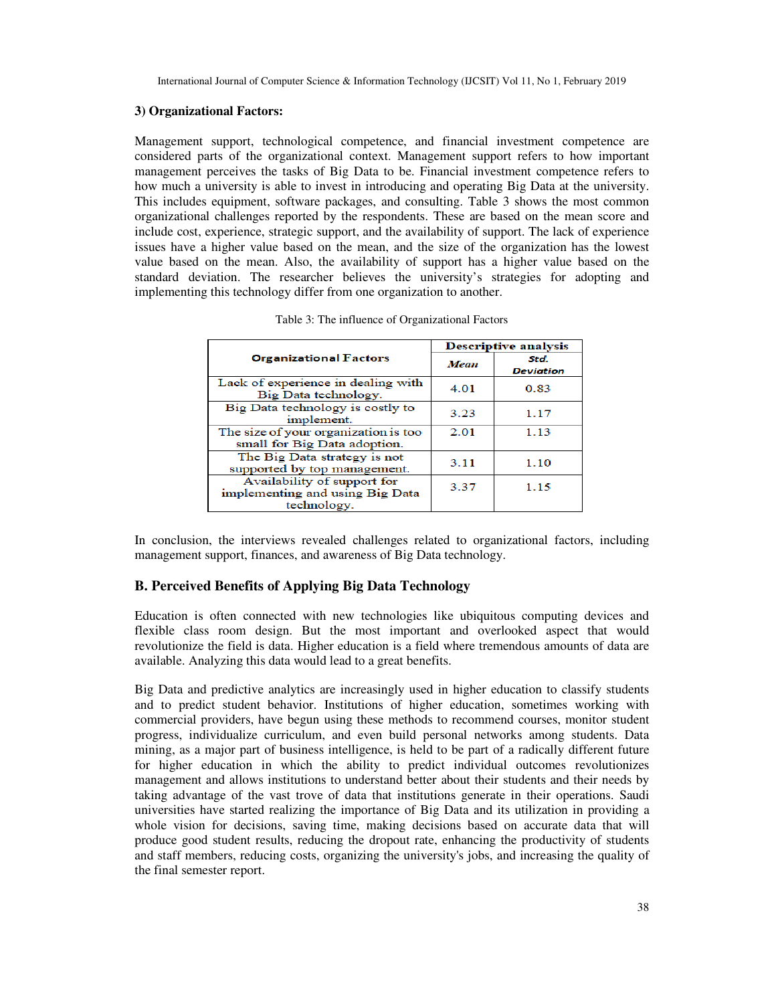#### **3) Organizational Factors:**

Management support, technological competence, and financial investment competence are considered parts of the organizational context. Management support refers to how important management perceives the tasks of Big Data to be. Financial investment competence refers to how much a university is able to invest in introducing and operating Big Data at the university. This includes equipment, software packages, and consulting. Table 3 shows the most common organizational challenges reported by the respondents. These are based on the mean score and include cost, experience, strategic support, and the availability of support. The lack of experience issues have a higher value based on the mean, and the size of the organization has the lowest value based on the mean. Also, the availability of support has a higher value based on the standard deviation. The researcher believes the university's strategies for adopting and implementing this technology differ from one organization to another.

|                                                                               | <b>Descriptive analysis</b> |                          |  |
|-------------------------------------------------------------------------------|-----------------------------|--------------------------|--|
| <b>Organizational Factors</b>                                                 | Mean                        | Std.<br><b>Deviation</b> |  |
| Lack of experience in dealing with<br>Big Data technology.                    | 4.01                        | 0.83                     |  |
| Big Data technology is costly to<br>implement.                                | 3.23                        | 1.17                     |  |
| The size of your organization is too<br>small for Big Data adoption.          | 2.01                        | 1.13                     |  |
| The Big Data strategy is not<br>supported by top management.                  | 3.11                        | 1.10                     |  |
| Availability of support for<br>implementing and using Big Data<br>technology. | 3.37                        | 1.15                     |  |

Table 3: The influence of Organizational Factors

In conclusion, the interviews revealed challenges related to organizational factors, including management support, finances, and awareness of Big Data technology.

# **B. Perceived Benefits of Applying Big Data Technology**

Education is often connected with new technologies like ubiquitous computing devices and flexible class room design. But the most important and overlooked aspect that would revolutionize the field is data. Higher education is a field where tremendous amounts of data are available. Analyzing this data would lead to a great benefits.

Big Data and predictive analytics are increasingly used in higher education to classify students and to predict student behavior. Institutions of higher education, sometimes working with commercial providers, have begun using these methods to recommend courses, monitor student progress, individualize curriculum, and even build personal networks among students. Data mining, as a major part of business intelligence, is held to be part of a radically different future for higher education in which the ability to predict individual outcomes revolutionizes management and allows institutions to understand better about their students and their needs by taking advantage of the vast trove of data that institutions generate in their operations. Saudi universities have started realizing the importance of Big Data and its utilization in providing a whole vision for decisions, saving time, making decisions based on accurate data that will produce good student results, reducing the dropout rate, enhancing the productivity of students and staff members, reducing costs, organizing the university's jobs, and increasing the quality of the final semester report.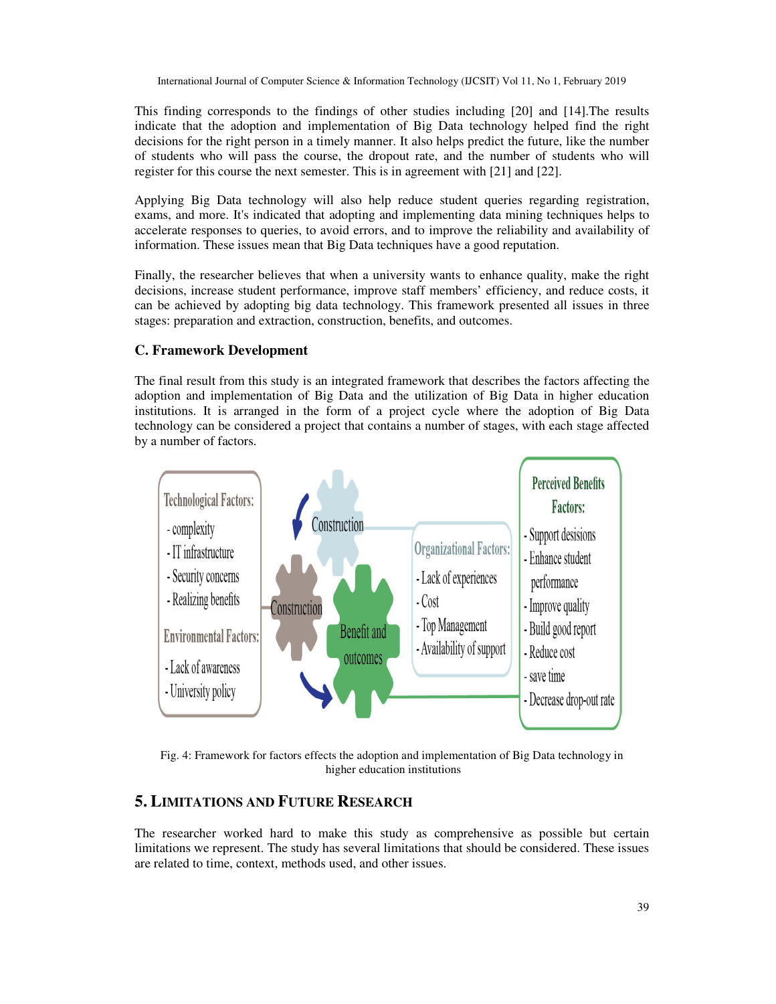This finding corresponds to the findings of other studies including [20] and [14].The results indicate that the adoption and implementation of Big Data technology helped find the right decisions for the right person in a timely manner. It also helps predict the future, like the number of students who will pass the course, the dropout rate, and the number of students who will register for this course the next semester. This is in agreement with [21] and [22].

Applying Big Data technology will also help reduce student queries regarding registration, exams, and more. It's indicated that adopting and implementing data mining techniques helps to accelerate responses to queries, to avoid errors, and to improve the reliability and availability of information. These issues mean that Big Data techniques have a good reputation.

Finally, the researcher believes that when a university wants to enhance quality, make the right decisions, increase student performance, improve staff members' efficiency, and reduce costs, it can be achieved by adopting big data technology. This framework presented all issues in three stages: preparation and extraction, construction, benefits, and outcomes.

# **C. Framework Development**

The final result from this study is an integrated framework that describes the factors affecting the adoption and implementation of Big Data and the utilization of Big Data in higher education institutions. It is arranged in the form of a project cycle where the adoption of Big Data technology can be considered a project that contains a number of stages, with each stage affected by a number of factors.



Fig. 4: Framework for factors effects the adoption and implementation of Big Data technology in higher education institutions

# **5. LIMITATIONS AND FUTURE RESEARCH**

The researcher worked hard to make this study as comprehensive as possible but certain limitations we represent. The study has several limitations that should be considered. These issues are related to time, context, methods used, and other issues.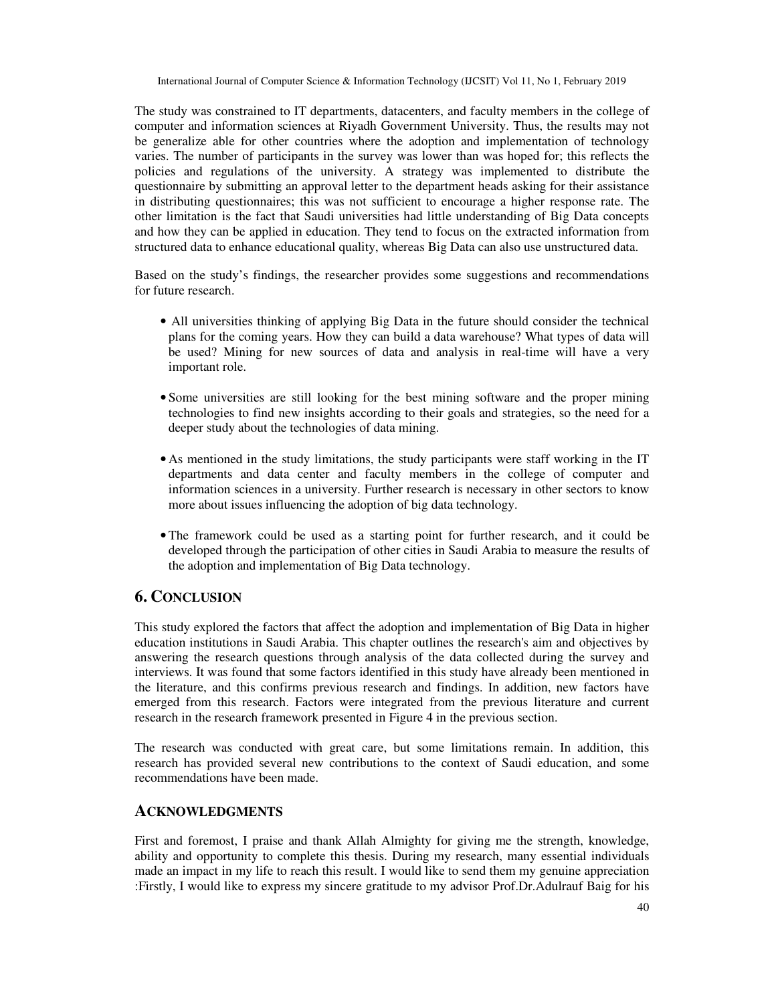The study was constrained to IT departments, datacenters, and faculty members in the college of computer and information sciences at Riyadh Government University. Thus, the results may not be generalize able for other countries where the adoption and implementation of technology varies. The number of participants in the survey was lower than was hoped for; this reflects the policies and regulations of the university. A strategy was implemented to distribute the questionnaire by submitting an approval letter to the department heads asking for their assistance in distributing questionnaires; this was not sufficient to encourage a higher response rate. The other limitation is the fact that Saudi universities had little understanding of Big Data concepts and how they can be applied in education. They tend to focus on the extracted information from structured data to enhance educational quality, whereas Big Data can also use unstructured data.

Based on the study's findings, the researcher provides some suggestions and recommendations for future research.

- All universities thinking of applying Big Data in the future should consider the technical plans for the coming years. How they can build a data warehouse? What types of data will be used? Mining for new sources of data and analysis in real-time will have a very important role.
- Some universities are still looking for the best mining software and the proper mining technologies to find new insights according to their goals and strategies, so the need for a deeper study about the technologies of data mining.
- As mentioned in the study limitations, the study participants were staff working in the IT departments and data center and faculty members in the college of computer and information sciences in a university. Further research is necessary in other sectors to know more about issues influencing the adoption of big data technology.
- The framework could be used as a starting point for further research, and it could be developed through the participation of other cities in Saudi Arabia to measure the results of the adoption and implementation of Big Data technology.

# **6. CONCLUSION**

This study explored the factors that affect the adoption and implementation of Big Data in higher education institutions in Saudi Arabia. This chapter outlines the research's aim and objectives by answering the research questions through analysis of the data collected during the survey and interviews. It was found that some factors identified in this study have already been mentioned in the literature, and this confirms previous research and findings. In addition, new factors have emerged from this research. Factors were integrated from the previous literature and current research in the research framework presented in Figure 4 in the previous section.

The research was conducted with great care, but some limitations remain. In addition, this research has provided several new contributions to the context of Saudi education, and some recommendations have been made.

### **ACKNOWLEDGMENTS**

First and foremost, I praise and thank Allah Almighty for giving me the strength, knowledge, ability and opportunity to complete this thesis. During my research, many essential individuals made an impact in my life to reach this result. I would like to send them my genuine appreciation :Firstly, I would like to express my sincere gratitude to my advisor Prof.Dr.Adulrauf Baig for his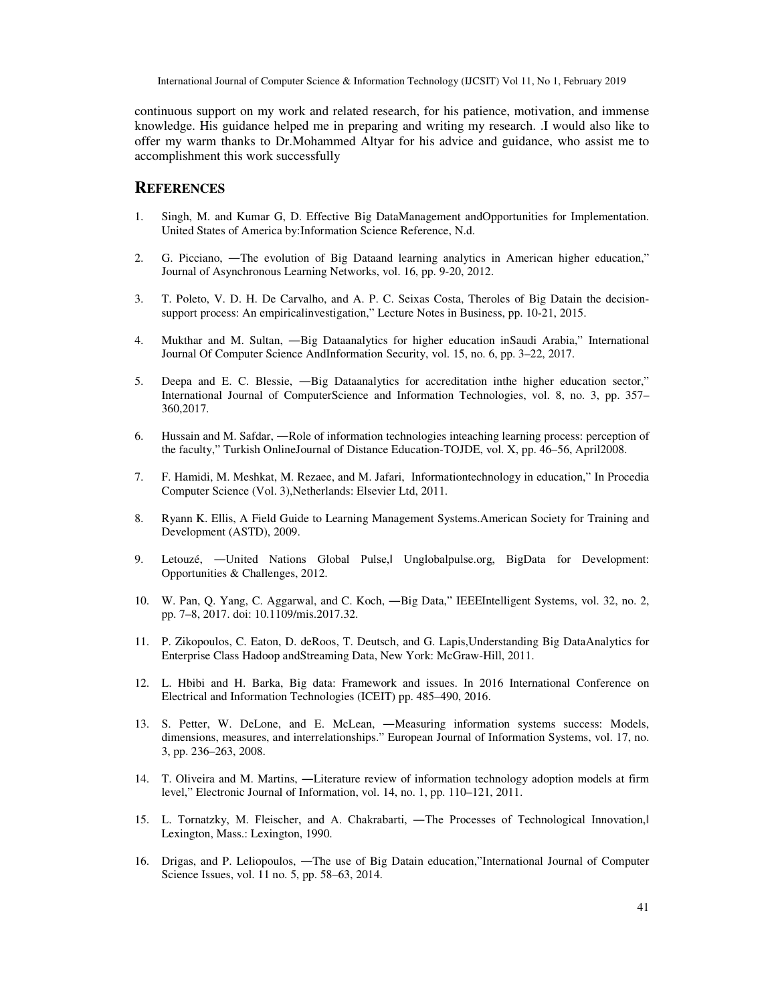continuous support on my work and related research, for his patience, motivation, and immense knowledge. His guidance helped me in preparing and writing my research. .I would also like to offer my warm thanks to Dr.Mohammed Altyar for his advice and guidance, who assist me to accomplishment this work successfully

# **REFERENCES**

- 1. Singh, M. and Kumar G, D. Effective Big DataManagement andOpportunities for Implementation. United States of America by:Information Science Reference, N.d.
- 2. G. Picciano, ―The evolution of Big Dataand learning analytics in American higher education," Journal of Asynchronous Learning Networks, vol. 16, pp. 9-20, 2012.
- 3. T. Poleto, V. D. H. De Carvalho, and A. P. C. Seixas Costa, Theroles of Big Datain the decisionsupport process: An empiricalinvestigation," Lecture Notes in Business, pp. 10-21, 2015.
- 4. Mukthar and M. Sultan, ―Big Dataanalytics for higher education inSaudi Arabia," International Journal Of Computer Science AndInformation Security, vol. 15, no. 6, pp. 3–22, 2017.
- 5. Deepa and E. C. Blessie, ―Big Dataanalytics for accreditation inthe higher education sector," International Journal of ComputerScience and Information Technologies, vol. 8, no. 3, pp. 357– 360,2017.
- 6. Hussain and M. Safdar, ―Role of information technologies inteaching learning process: perception of the faculty," Turkish OnlineJournal of Distance Education-TOJDE, vol. X, pp. 46–56, April2008.
- 7. F. Hamidi, M. Meshkat, M. Rezaee, and M. Jafari, Informationtechnology in education," In Procedia Computer Science (Vol. 3),Netherlands: Elsevier Ltd, 2011.
- 8. Ryann K. Ellis, A Field Guide to Learning Management Systems.American Society for Training and Development (ASTD), 2009.
- 9. Letouzé, —United Nations Global Pulse, Unglobalpulse.org, BigData for Development: Opportunities & Challenges, 2012.
- 10. W. Pan, Q. Yang, C. Aggarwal, and C. Koch, ―Big Data," IEEEIntelligent Systems, vol. 32, no. 2, pp. 7–8, 2017. doi: 10.1109/mis.2017.32.
- 11. P. Zikopoulos, C. Eaton, D. deRoos, T. Deutsch, and G. Lapis,Understanding Big DataAnalytics for Enterprise Class Hadoop andStreaming Data, New York: McGraw-Hill, 2011.
- 12. L. Hbibi and H. Barka, Big data: Framework and issues. In 2016 International Conference on Electrical and Information Technologies (ICEIT) pp. 485–490, 2016.
- 13. S. Petter, W. DeLone, and E. McLean, ―Measuring information systems success: Models, dimensions, measures, and interrelationships." European Journal of Information Systems, vol. 17, no. 3, pp. 236–263, 2008.
- 14. T. Oliveira and M. Martins, ―Literature review of information technology adoption models at firm level," Electronic Journal of Information, vol. 14, no. 1, pp. 110–121, 2011.
- 15. L. Tornatzky, M. Fleischer, and A. Chakrabarti, —The Processes of Technological Innovation, Lexington, Mass.: Lexington, 1990.
- 16. Drigas, and P. Leliopoulos, ―The use of Big Datain education,"International Journal of Computer Science Issues, vol. 11 no. 5, pp. 58–63, 2014.